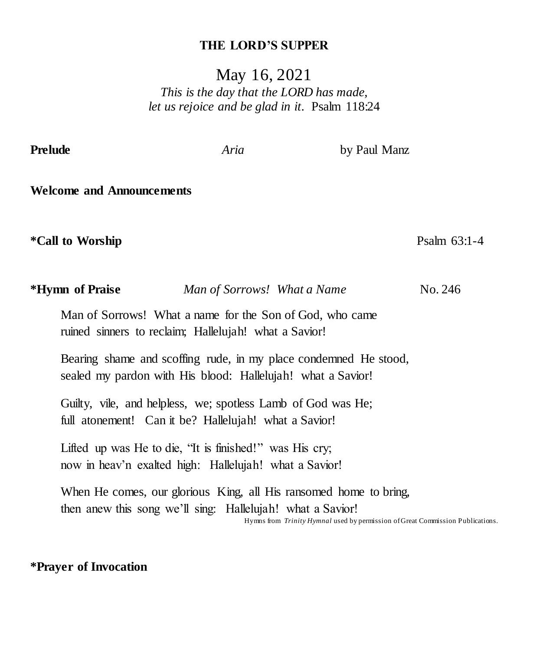#### **THE LORD'S SUPPER**

May 16, 2021

*This is the day that the LORD has made, let us rejoice and be glad in it.* Psalm 118:24

**Prelude** *Aria* by Paul Manz

**Welcome and Announcements**

**\*Call to Worship** Psalm 63:1-4

| *Hymn of Praise                                                                                                   | Man of Sorrows! What a Name |                                                                  | No. 246 |
|-------------------------------------------------------------------------------------------------------------------|-----------------------------|------------------------------------------------------------------|---------|
| Man of Sorrows! What a name for the Son of God, who came<br>ruined sinners to reclaim; Hallelujah! what a Savior! |                             |                                                                  |         |
| sealed my pardon with His blood: Hallelujah! what a Savior!                                                       |                             | Bearing shame and scoffing rude, in my place condemned He stood, |         |
| Guilty, vile, and helpless, we; spotless Lamb of God was He;                                                      |                             |                                                                  |         |
| full atonement! Can it be? Hallelujah! what a Savior!                                                             |                             |                                                                  |         |

Lifted up was He to die, "It is finished!" was His cry; now in heav'n exalted high: Hallelujah! what a Savior!

When He comes, our glorious King, all His ransomed home to bring, then anew this song we'll sing: Hallelujah! what a Savior!

Hymns from *Trinity Hymnal* used by permission of Great Commission Publications. 

#### **\*Prayer of Invocation**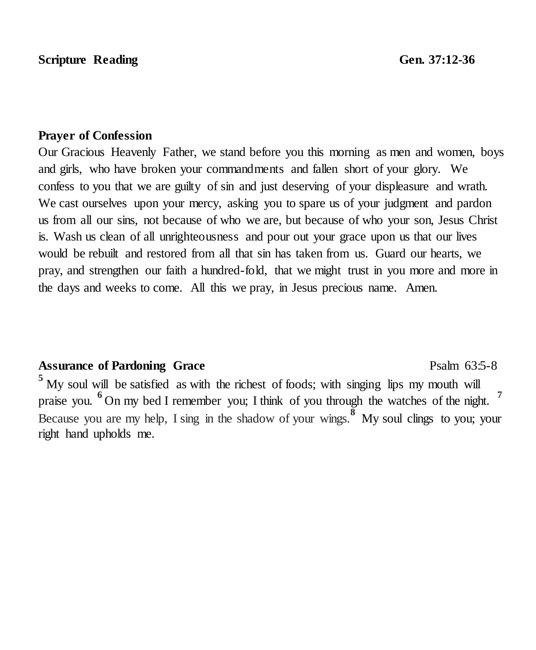#### **Prayer of Confession**

Our Gracious Heavenly Father, we stand before you this morning as men and women, boys and girls, who have broken your commandments and fallen short of your glory. We confess to you that we are guilty of sin and just deserving of your displeasure and wrath. We cast ourselves upon your mercy, asking you to spare us of your judgment and pardon us from all our sins, not because of who we are, but because of who your son, Jesus Christ is. Wash us clean of all unrighteousness and pour out your grace upon us that our lives would be rebuilt and restored from all that sin has taken from us. Guard our hearts, we pray, and strengthen our faith a hundred-fold, that we might trust in you more and more in the days and weeks to come. All this we pray, in Jesus precious name. Amen.

## Assurance of Pardoning Grace **Psalm 63:5-8** Psalm 63:5-8

**<sup>5</sup>** My soul will be satisfied as with the richest of foods; with singing lips my mouth will praise you. **6** On my bed I remember you; I think of you through the watches of the night. **<sup>7</sup>** Because you are my help, I sing in the shadow of your wings.<sup>8</sup> My soul clings to you; your right hand upholds me.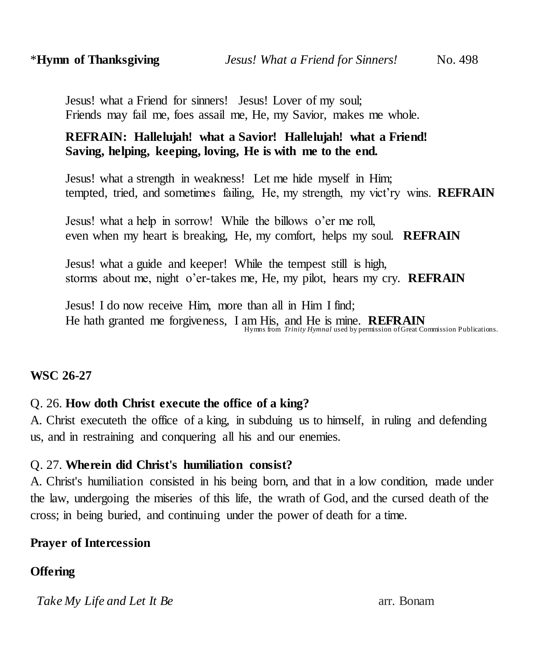## **REFRAIN: Hallelujah! what a Savior! Hallelujah! what a Friend! Saving, helping, keeping, loving, He is with me to the end.**

 Jesus! what a strength in weakness! Let me hide myself in Him; tempted, tried, and sometimes failing, He, my strength, my vict'ry wins. **REFRAIN**

 Jesus! what a help in sorrow! While the billows o'er me roll, even when my heart is breaking, He, my comfort, helps my soul. **REFRAIN**

 Jesus! what a guide and keeper! While the tempest still is high, storms about me, night o'er-takes me, He, my pilot, hears my cry. **REFRAIN**

 Jesus! I do now receive Him, more than all in Him I find; He hath granted me forgiveness, I am His, and He is mine. **REFRAIN** Hymns from *Trinity Hymnal* used by permission of Great Commission Publications.

## **WSC 26-27**

## Q. 26. **How doth Christ execute the office of a king?**

A. Christ executeth the office of a king, in subduing us to himself, in ruling and defending us, and in restraining and conquering all his and our enemies.

## Q. 27. **Wherein did Christ's humiliation consist?**

A. Christ's humiliation consisted in his being born, and that in a low condition, made under the law, undergoing the miseries of this life, the wrath of God, and the cursed death of the cross; in being buried, and continuing under the power of death for a time.

## **Prayer of Intercession**

## **Offering**

*Take My Life and Let It Be* arr. Bonam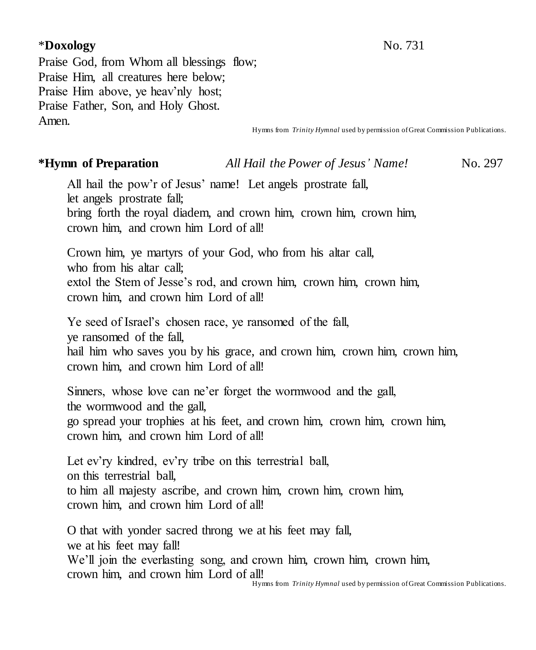## \***Doxology** No. 731

Praise God, from Whom all blessings flow; Praise Him, all creatures here below; Praise Him above, ye heav'nly host; Praise Father, Son, and Holy Ghost. Amen.

Hymns from *Trinity Hymnal* used by permission of Great Commission Publications.

#### **\*Hymn of Preparation** *All Hail the Power of Jesus' Name!* No. 297

All hail the pow'r of Jesus' name! Let angels prostrate fall, let angels prostrate fall; bring forth the royal diadem, and crown him, crown him, crown him,

crown him, and crown him Lord of all!

Crown him, ye martyrs of your God, who from his altar call, who from his altar call; extol the Stem of Jesse's rod, and crown him, crown him, crown him, crown him, and crown him Lord of all!

Ye seed of Israel's chosen race, ye ransomed of the fall, ye ransomed of the fall,

hail him who saves you by his grace, and crown him, crown him, crown him, crown him, and crown him Lord of all!

Sinners, whose love can ne'er forget the wormwood and the gall, the wormwood and the gall, go spread your trophies at his feet, and crown him, crown him, crown him, crown him, and crown him Lord of all!

Let ev'ry kindred, ev'ry tribe on this terrestrial ball, on this terrestrial ball, to him all majesty ascribe, and crown him, crown him, crown him, crown him, and crown him Lord of all!

O that with yonder sacred throng we at his feet may fall, we at his feet may fall! We'll join the everlasting song, and crown him, crown him, crown him, crown him, and crown him Lord of all!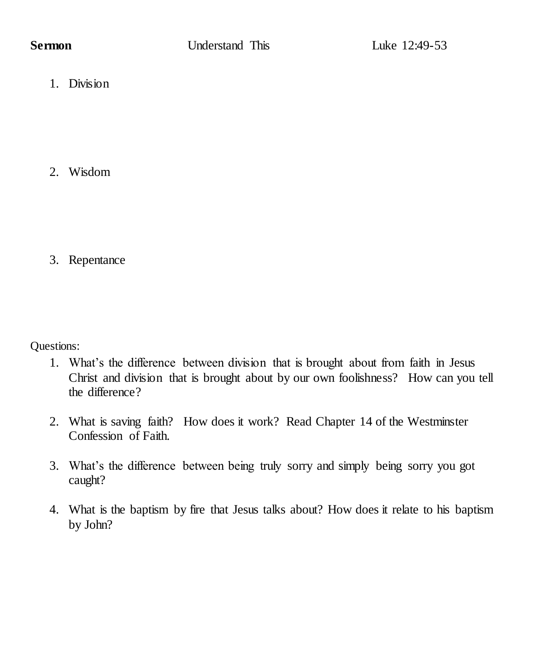1. Division

2. Wisdom

3. Repentance

Questions:

- 1. What's the difference between division that is brought about from faith in Jesus Christ and division that is brought about by our own foolishness? How can you tell the difference?
- 2. What is saving faith? How does it work? Read Chapter 14 of the Westminster Confession of Faith.
- 3. What's the difference between being truly sorry and simply being sorry you got caught?
- 4. What is the baptism by fire that Jesus talks about? How does it relate to his baptism by John?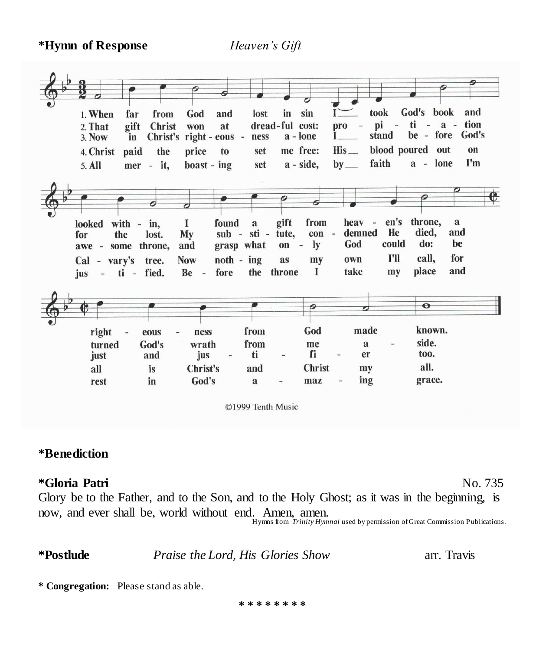**\*Hymn of Response** *Heaven's Gift*



**\*Benediction** 

#### **\*Gloria Patri** No. 735

Glory be to the Father, and to the Son, and to the Holy Ghost; as it was in the beginning, is now, and ever shall be, world without end. Amen, amen. Hymns from *Trinity Hymnal* used by permission of Great Commission Publications.

**\*Postlude** *Praise the Lord, His Glories Show* arr. Travis

**\* Congregation:** Please stand as able.

**\* \* \* \* \* \* \* \***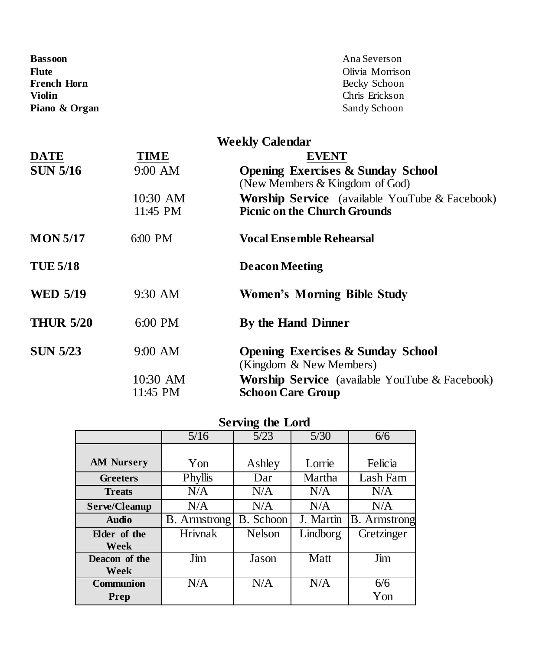| Bassoon       | Ana Severson    |
|---------------|-----------------|
| Flute         | Olivia Morrison |
| French Horn   | Becky Schoon    |
| Violin        | Chris Erickson  |
| Piano & Organ | Sandy Schoon    |

| <b>Weekly Calendar</b> |                      |                                                                                              |  |  |  |
|------------------------|----------------------|----------------------------------------------------------------------------------------------|--|--|--|
| <b>DATE</b>            | TIME                 | <b>EVENT</b>                                                                                 |  |  |  |
| <b>SUN 5/16</b>        | 9:00 AM              | <b>Opening Exercises &amp; Sunday School</b><br>(New Members $&$ Kingdom of God)             |  |  |  |
|                        | 10:30 AM<br>11:45 PM | <b>Worship Service</b> (available YouTube & Facebook)<br><b>Picnic on the Church Grounds</b> |  |  |  |
| <b>MON 5/17</b>        | $6:00 \text{ PM}$    | Vocal Ensemble Rehearsal                                                                     |  |  |  |
| <b>TUE 5/18</b>        |                      | <b>Deacon Meeting</b>                                                                        |  |  |  |
| <b>WED 5/19</b>        | $9:30$ AM            | Women's Morning Bible Study                                                                  |  |  |  |
| <b>THUR 5/20</b>       | 6:00 PM              | By the Hand Dinner                                                                           |  |  |  |
| <b>SUN 5/23</b>        | 9:00 AM              | <b>Opening Exercises &amp; Sunday School</b><br>(Kingdom & New Members)                      |  |  |  |
|                        | 10:30 AM<br>11:45 PM | <b>Worship Service</b> (available YouTube & Facebook)<br><b>Schoon Care Group</b>            |  |  |  |

| <b>Serving the Lord</b> |                     |           |           |                     |  |  |
|-------------------------|---------------------|-----------|-----------|---------------------|--|--|
|                         | 5/16                | 5/23      | 5/30      | 6/6                 |  |  |
|                         |                     |           |           |                     |  |  |
| <b>AM Nursery</b>       | Yon                 | Ashley    | Lorrie    | Felicia             |  |  |
| <b>Greeters</b>         | Phyllis             | Dar       | Martha    | Lash Fam            |  |  |
| <b>Treats</b>           | N/A                 | N/A       | N/A       | N/A                 |  |  |
| Serve/Cleanup           | N/A                 | N/A       | N/A       | N/A                 |  |  |
| Audio                   | <b>B.</b> Armstrong | B. Schoon | J. Martin | <b>B.</b> Armstrong |  |  |
| Elder of the            | <b>Hrivnak</b>      | Nelson    | Lindborg  | Gretzinger          |  |  |
| Week                    |                     |           |           |                     |  |  |
| Deacon of the           | Jim                 | Jason     | Matt      | Jim                 |  |  |
| Week                    |                     |           |           |                     |  |  |
| Communion               | N/A                 | N/A       | N/A       | 6/6                 |  |  |
| Prep                    |                     |           |           | Yon                 |  |  |